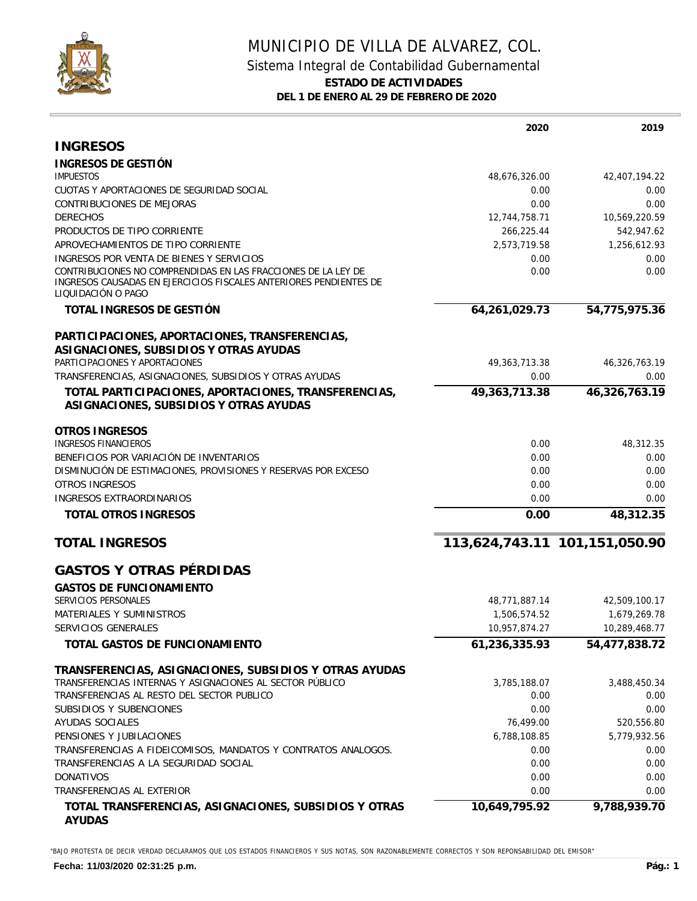

## MUNICIPIO DE VILLA DE ALVAREZ, COL. Sistema Integral de Contabilidad Gubernamental **ESTADO DE ACTIVIDADES DEL 1 DE ENERO AL 29 DE FEBRERO DE 2020**

|                                                                                                                                                          | 2020             | 2019                          |
|----------------------------------------------------------------------------------------------------------------------------------------------------------|------------------|-------------------------------|
| <b>INGRESOS</b>                                                                                                                                          |                  |                               |
| INGRESOS DE GESTIÓN                                                                                                                                      |                  |                               |
| <b>IMPUESTOS</b>                                                                                                                                         | 48,676,326.00    | 42,407,194.22                 |
| CUOTAS Y APORTACIONES DE SEGURIDAD SOCIAL                                                                                                                | 0.00             | 0.00                          |
| <b>CONTRIBUCIONES DE MEJORAS</b>                                                                                                                         | 0.00             | 0.00                          |
| <b>DERECHOS</b>                                                                                                                                          | 12,744,758.71    | 10,569,220.59                 |
| PRODUCTOS DE TIPO CORRIENTE                                                                                                                              | 266,225.44       | 542,947.62                    |
| APROVECHAMIENTOS DE TIPO CORRIENTE                                                                                                                       | 2,573,719.58     | 1,256,612.93                  |
| INGRESOS POR VENTA DE BIENES Y SERVICIOS                                                                                                                 | 0.00             | 0.00                          |
| CONTRIBUCIONES NO COMPRENDIDAS EN LAS FRACCIONES DE LA LEY DE<br>INGRESOS CAUSADAS EN EJERCICIOS FISCALES ANTERIORES PENDIENTES DE<br>LIQUIDACIÓN O PAGO | 0.00             | 0.00                          |
| TOTAL INGRESOS DE GESTIÓN                                                                                                                                | 64,261,029.73    | 54,775,975.36                 |
| PARTICIPACIONES, APORTACIONES, TRANSFERENCIAS,                                                                                                           |                  |                               |
| ASIGNACIONES, SUBSIDIOS Y OTRAS AYUDAS                                                                                                                   |                  |                               |
| PARTICIPACIONES Y APORTACIONES                                                                                                                           | 49, 363, 713. 38 | 46,326,763.19                 |
| TRANSFERENCIAS, ASIGNACIONES, SUBSIDIOS Y OTRAS AYUDAS                                                                                                   | 0.00             | 0.00                          |
| TOTAL PARTICIPACIONES, APORTACIONES, TRANSFERENCIAS,<br>ASIGNACIONES, SUBSIDIOS Y OTRAS AYUDAS                                                           | 49,363,713.38    | 46,326,763.19                 |
| OTROS INGRESOS                                                                                                                                           |                  |                               |
| <b>INGRESOS FINANCIEROS</b>                                                                                                                              | 0.00             | 48,312.35                     |
| BENEFICIOS POR VARIACIÓN DE INVENTARIOS                                                                                                                  | 0.00             | 0.00                          |
| DISMINUCIÓN DE ESTIMACIONES, PROVISIONES Y RESERVAS POR EXCESO                                                                                           | 0.00             | 0.00                          |
| <b>OTROS INGRESOS</b>                                                                                                                                    | 0.00             | 0.00                          |
| <b>INGRESOS EXTRAORDINARIOS</b>                                                                                                                          | 0.00             | 0.00                          |
| TOTAL OTROS INGRESOS                                                                                                                                     | 0.00             | 48,312.35                     |
| <b>TOTAL INGRESOS</b>                                                                                                                                    |                  | 113,624,743.11 101,151,050.90 |
| <b>GASTOS Y OTRAS PÉRDIDAS</b>                                                                                                                           |                  |                               |
| <b>GASTOS DE FUNCIONAMIENTO</b>                                                                                                                          |                  |                               |
| SERVICIOS PERSONALES                                                                                                                                     | 48,771,887.14    | 42,509,100.17                 |
| MATERIALES Y SUMINISTROS                                                                                                                                 | 1,506,574.52     | 1,679,269.78                  |
| SERVICIOS GENERALES                                                                                                                                      | 10,957,874.27    | 10,289,468.77                 |
| TOTAL GASTOS DE FUNCIONAMIENTO                                                                                                                           | 61,236,335.93    | 54,477,838.72                 |
| TRANSFERENCIAS, ASIGNACIONES, SUBSIDIOS Y OTRAS AYUDAS                                                                                                   |                  |                               |
| TRANSFERENCIAS INTERNAS Y ASIGNACIONES AL SECTOR PÚBLICO                                                                                                 | 3,785,188.07     | 3,488,450.34                  |
| TRANSFERENCIAS AL RESTO DEL SECTOR PUBLICO                                                                                                               | 0.00             | 0.00                          |
| SUBSIDIOS Y SUBENCIONES                                                                                                                                  | 0.00             | 0.00                          |
| AYUDAS SOCIALES                                                                                                                                          | 76,499.00        | 520,556.80                    |
| PENSIONES Y JUBILACIONES                                                                                                                                 | 6,788,108.85     | 5,779,932.56                  |
| TRANSFERENCIAS A FIDEICOMISOS, MANDATOS Y CONTRATOS ANALOGOS.                                                                                            | 0.00             | 0.00                          |
| TRANSFERENCIAS A LA SEGURIDAD SOCIAL                                                                                                                     | 0.00             | 0.00                          |
| <b>DONATIVOS</b>                                                                                                                                         | 0.00             | 0.00                          |
| TRANSFERENCIAS AL EXTERIOR                                                                                                                               | 0.00             | 0.00                          |
| TOTAL TRANSFERENCIAS, ASIGNACIONES, SUBSIDIOS Y OTRAS                                                                                                    | 10,649,795.92    | 9,788,939.70                  |

"BAJO PROTESTA DE DECIR VERDAD DECLARAMOS QUE LOS ESTADOS FINANCIEROS Y SUS NOTAS, SON RAZONABLEMENTE CORRECTOS Y SON REPONSABILIDAD DEL EMISOR"

**AYUDAS**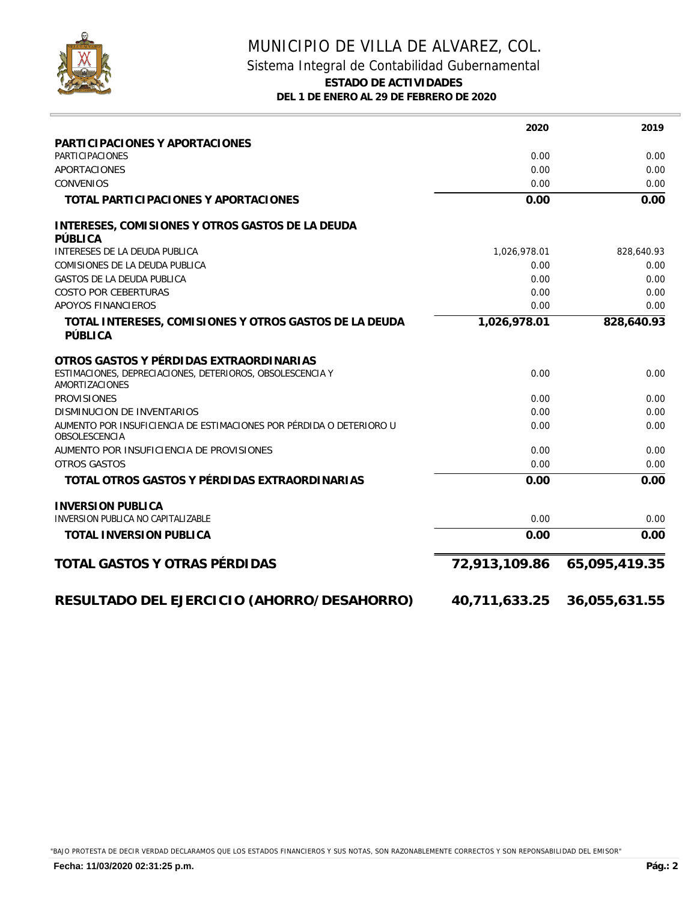

## MUNICIPIO DE VILLA DE ALVAREZ, COL. Sistema Integral de Contabilidad Gubernamental **ESTADO DE ACTIVIDADES DEL 1 DE ENERO AL 29 DE FEBRERO DE 2020**

|                                                                                             | 2020          | 2019          |
|---------------------------------------------------------------------------------------------|---------------|---------------|
| PARTICIPACIONES Y APORTACIONES                                                              |               |               |
| <b>PARTICIPACIONES</b>                                                                      | 0.00          | 0.00          |
| <b>APORTACIONES</b>                                                                         | 0.00          | 0.00          |
| <b>CONVENIOS</b>                                                                            | 0.00          | 0.00          |
| TOTAL PARTICIPACIONES Y APORTACIONES                                                        | 0.00          | 0.00          |
| INTERESES, COMISIONES Y OTROS GASTOS DE LA DEUDA<br>PÚBLICA                                 |               |               |
| INTERESES DE LA DEUDA PUBLICA                                                               | 1,026,978.01  | 828,640.93    |
| COMISIONES DE LA DEUDA PUBLICA                                                              | 0.00          | 0.00          |
| <b>GASTOS DE LA DEUDA PUBLICA</b>                                                           | 0.00          | 0.00          |
| <b>COSTO POR CEBERTURAS</b>                                                                 | 0.00          | 0.00          |
| APOYOS FINANCIEROS                                                                          | 0.00          | 0.00          |
| TOTAL INTERESES, COMISIONES Y OTROS GASTOS DE LA DEUDA<br>PÚBLICA                           | 1,026,978.01  | 828,640.93    |
| OTROS GASTOS Y PÉRDIDAS EXTRAORDINARIAS                                                     |               |               |
| ESTIMACIONES, DEPRECIACIONES, DETERIOROS, OBSOLESCENCIA Y<br>AMORTIZACIONES                 | 0.00          | 0.00          |
| <b>PROVISIONES</b>                                                                          | 0.00          | 0.00          |
| <b>DISMINUCION DE INVENTARIOS</b>                                                           | 0.00          | 0.00          |
| AUMENTO POR INSUFICIENCIA DE ESTIMACIONES POR PÉRDIDA O DETERIORO U<br><b>OBSOLESCENCIA</b> | 0.00          | 0.00          |
| AUMENTO POR INSUFICIENCIA DE PROVISIONES                                                    | 0.00          | 0.00          |
| <b>OTROS GASTOS</b>                                                                         | 0.00          | 0.00          |
| TOTAL OTROS GASTOS Y PÉRDIDAS EXTRAORDINARIAS                                               | 0.00          | 0.00          |
| <b>INVERSION PUBLICA</b>                                                                    |               |               |
| INVERSION PUBLICA NO CAPITALIZABLE                                                          | 0.00          | 0.00          |
| TOTAL INVERSION PUBLICA                                                                     | 0.00          | 0.00          |
| TOTAL GASTOS Y OTRAS PÉRDIDAS                                                               | 72,913,109.86 | 65,095,419.35 |
| RESULTADO DEL EJERCICIO (AHORRO/DESAHORRO)                                                  | 40,711,633.25 | 36,055,631.55 |